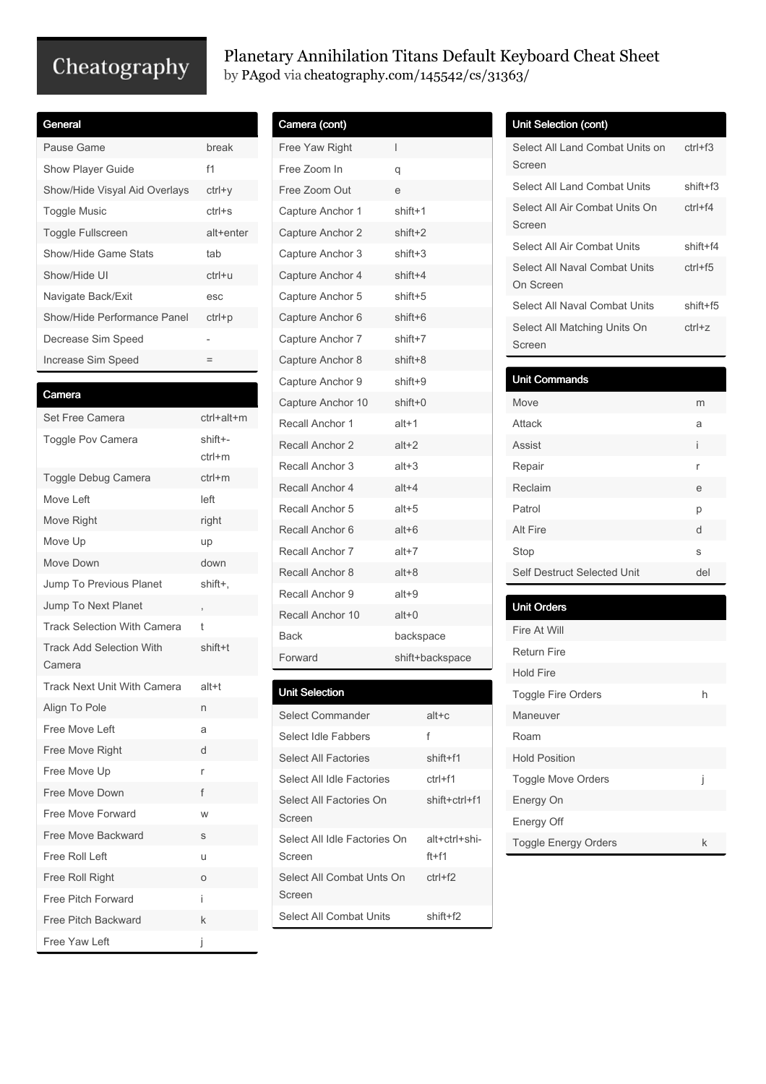# Cheatography

| Planetary Annihilation Titans Default Keyboard Cheat Sheet |
|------------------------------------------------------------|
| by PAgod via cheatography.com/145542/cs/31363/             |

| General                       |           |
|-------------------------------|-----------|
| Pause Game                    | break     |
| <b>Show Player Guide</b>      | f1        |
| Show/Hide Visyal Aid Overlays | ctrl+y    |
| Toggle Music                  | ctrl+s    |
| <b>Toggle Fullscreen</b>      | alt+enter |
| Show/Hide Game Stats          | tab       |
| Show/Hide UI                  | $ctr+u$   |
| Navigate Back/Exit            | esc       |
| Show/Hide Performance Panel   | ctrl+p    |
| Decrease Sim Speed            |           |
| Increase Sim Speed            |           |

#### Camera

| Set Free Camera                           | ctrl+alt+m         |
|-------------------------------------------|--------------------|
| <b>Toggle Pov Camera</b>                  | shift+-<br>$ctr+m$ |
| Toggle Debug Camera                       | $ctr+m$            |
| Move Left                                 | left               |
| Move Right                                | right              |
| Move Up                                   | up                 |
| Move Down                                 | down               |
| Jump To Previous Planet                   | shift+,            |
| Jump To Next Planet                       | ,                  |
| <b>Track Selection With Camera</b>        | t                  |
| <b>Track Add Selection With</b><br>Camera | shift+t            |
| <b>Track Next Unit With Camera</b>        | alt+t              |
| Align To Pole                             | n                  |
| Free Move Left                            | a                  |
| Free Move Right                           | d                  |
| Free Move Up                              | r                  |
| Free Move Down                            | f                  |
| Free Move Forward                         | W                  |
| Free Move Backward                        | S                  |
| Free Roll Left                            | u                  |
| <b>Free Roll Right</b>                    | O                  |
| Free Pitch Forward                        | i                  |
| Free Pitch Backward                       | k                  |
| Free Yaw Left                             | j                  |

| Camera (cont)     |                 |
|-------------------|-----------------|
| Free Yaw Right    | I               |
| Free Zoom In      | q               |
| Free Zoom Out     | e               |
| Capture Anchor 1  | shift+1         |
| Capture Anchor 2  | shift+2         |
| Capture Anchor 3  | shift+3         |
| Capture Anchor 4  | shift+4         |
| Capture Anchor 5  | shift+5         |
| Capture Anchor 6  | shift+6         |
| Capture Anchor 7  | shift+7         |
| Capture Anchor 8  | shift+8         |
| Capture Anchor 9  | shift+9         |
| Capture Anchor 10 | shift+0         |
| Recall Anchor 1   | $alt+1$         |
| Recall Anchor 2   | $alt+2$         |
| Recall Anchor 3   | $alt+3$         |
| Recall Anchor 4   | $alt+4$         |
| Recall Anchor 5   | $alt+5$         |
| Recall Anchor 6   | alt+6           |
| Recall Anchor 7   | $alt+7$         |
| Recall Anchor 8   | alt+8           |
| Recall Anchor 9   | $alt+9$         |
| Recall Anchor 10  | $alt+0$         |
| Back              | backspace       |
| Forward           | shift+backspace |

| <b>Unit Selection</b>        |               |
|------------------------------|---------------|
| Select Commander             | alt+c         |
| Select Idle Fabbers          | f             |
| <b>Select All Factories</b>  | shift+f1      |
| Select All Idle Factories    | ctrl+f1       |
| Select All Factories On      | shift+ctrl+f1 |
| Screen                       |               |
| Select All Idle Factories On | alt+ctrl+shi- |
| Screen                       | $ft + f1$     |
| Select All Combat Unts On    | $ctrl + f2$   |
| Screen                       |               |
| Select All Combat Units      | shift+f2      |

### Unit Selection (cont)

| Select All Land Combat Units on<br>Screen  | ctrH <sub>53</sub> |
|--------------------------------------------|--------------------|
| Select All Land Combat Units               | shift+f3           |
| Select All Air Combat Units On<br>Screen   | ctrl+f4            |
| Select All Air Combat Units                | shift+f4           |
| Select All Naval Combat Units<br>On Screen | $ctrl + f5$        |
| Select All Naval Combat Units              | shift+f5           |
| Select All Matching Units On<br>Screen     | $ctrl + z$         |

| <b>Unit Commands</b>               |     |
|------------------------------------|-----|
| Move                               | m   |
| Attack                             | a   |
| Assist                             | i   |
| Repair                             | r   |
| Reclaim                            | e   |
| Patrol                             | р   |
| Alt Fire                           | d   |
| Stop                               | S   |
| <b>Self Destruct Selected Unit</b> | del |

## Unit Orders Fire At Will Return Fire Hold Fire Toggle Fire Orders h Maneuver Roam Hold Position Toggle Move Orders **j** Energy On Energy Off Toggle Energy Orders **k**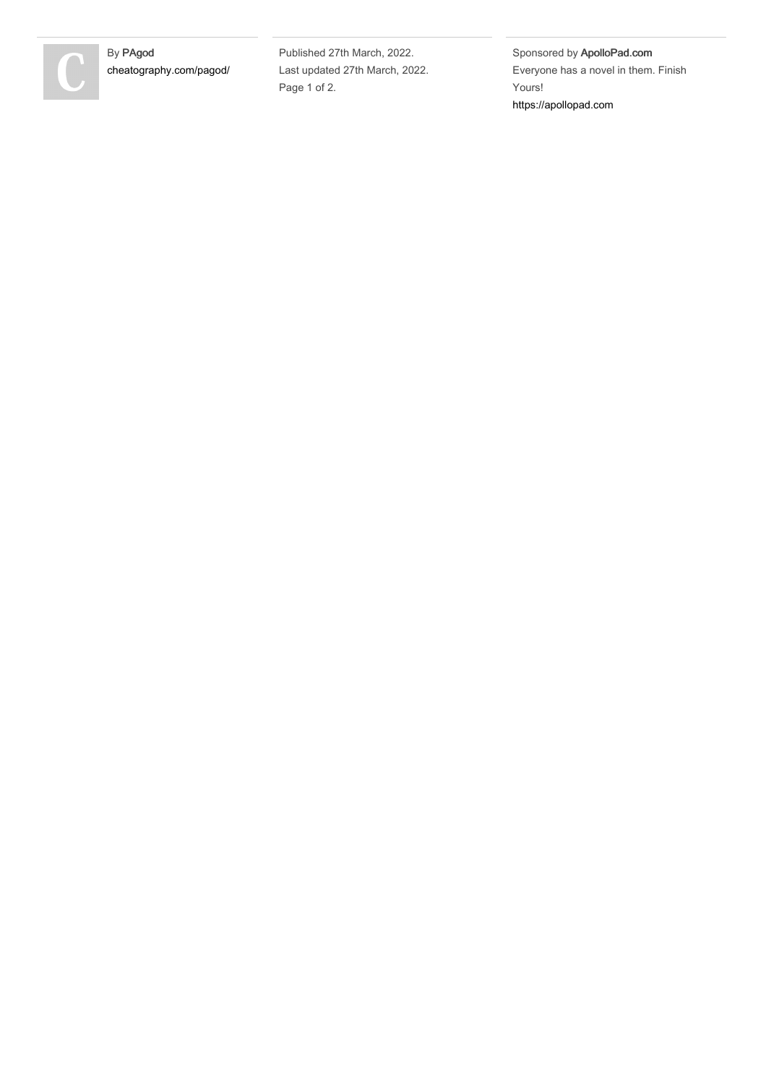

By PAgod [cheatography.com/pagod/](http://www.cheatography.com/pagod/)

Published 27th March, 2022. Last updated 27th March, 2022. Page 1 of 2.

Sponsored by ApolloPad.com Everyone has a novel in them. Finish Yours! <https://apollopad.com>